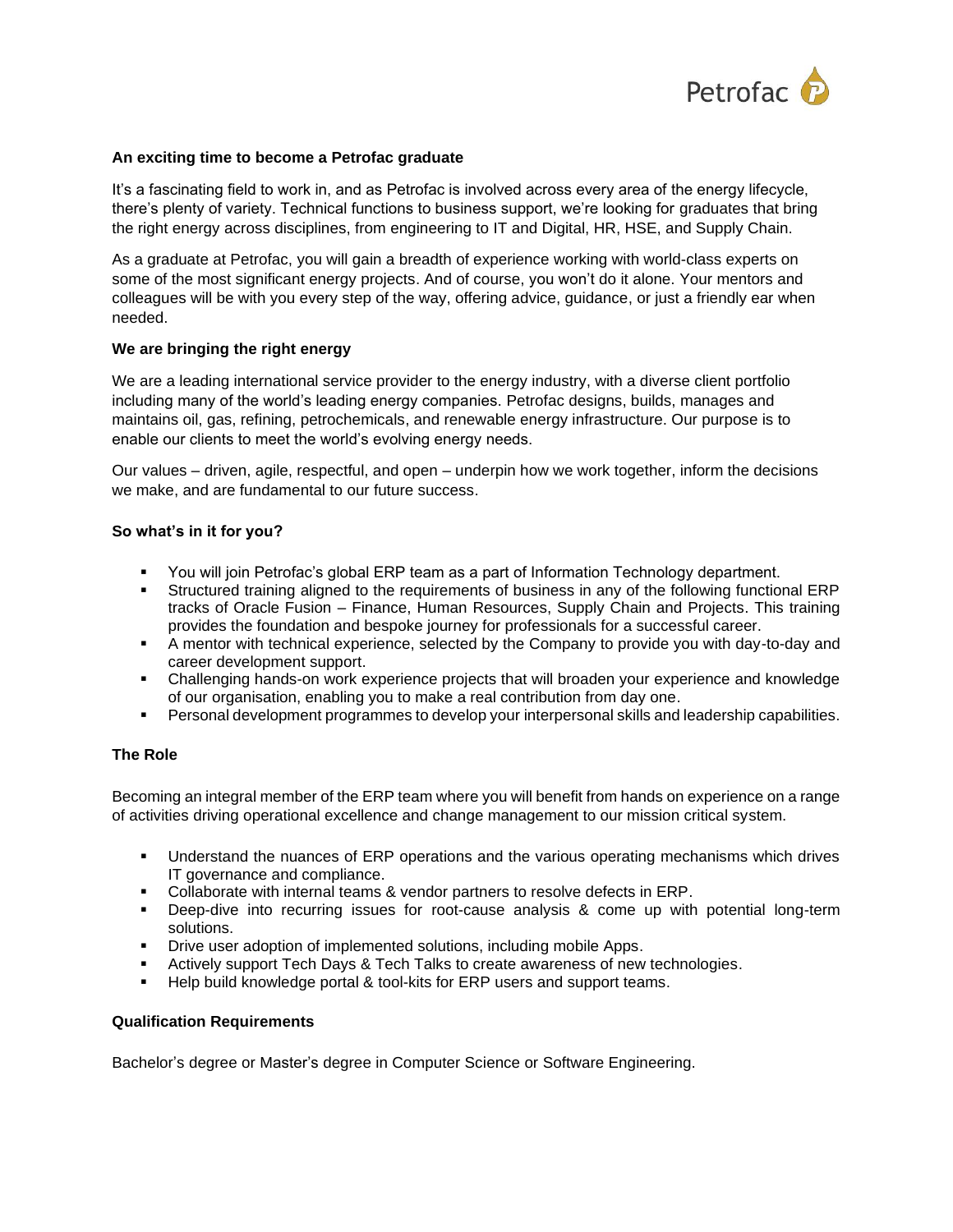

## **An exciting time to become a Petrofac graduate**

It's a fascinating field to work in, and as Petrofac is involved across every area of the energy lifecycle, there's plenty of variety. Technical functions to business support, we're looking for graduates that bring the right energy across disciplines, from engineering to IT and Digital, HR, HSE, and Supply Chain.

As a graduate at Petrofac, you will gain a breadth of experience working with world-class experts on some of the most significant energy projects. And of course, you won't do it alone. Your mentors and colleagues will be with you every step of the way, offering advice, guidance, or just a friendly ear when needed.

## **We are bringing the right energy**

We are a leading international service provider to the energy industry, with a diverse client portfolio including many of the world's leading energy companies. Petrofac designs, builds, manages and maintains oil, gas, refining, petrochemicals, and renewable energy infrastructure. Our purpose is to enable our clients to meet the world's evolving energy needs.

Our values – driven, agile, respectful, and open – underpin how we work together, inform the decisions we make, and are fundamental to our future success.

## **So what's in it for you?**

- You will join Petrofac's global ERP team as a part of Information Technology department.
- **EXECT** Structured training aligned to the requirements of business in any of the following functional ERP tracks of Oracle Fusion – Finance, Human Resources, Supply Chain and Projects. This training provides the foundation and bespoke journey for professionals for a successful career.
- A mentor with technical experience, selected by the Company to provide you with day-to-day and career development support.
- Challenging hands-on work experience projects that will broaden your experience and knowledge of our organisation, enabling you to make a real contribution from day one.
- **•** Personal development programmes to develop your interpersonal skills and leadership capabilities.

# **The Role**

Becoming an integral member of the ERP team where you will benefit from hands on experience on a range of activities driving operational excellence and change management to our mission critical system.

- **•** Understand the nuances of ERP operations and the various operating mechanisms which drives IT governance and compliance.
- Collaborate with internal teams & vendor partners to resolve defects in ERP.
- Deep-dive into recurring issues for root-cause analysis & come up with potential long-term solutions.
- **Drive user adoption of implemented solutions, including mobile Apps.**
- **EXECT Actively support Tech Days & Tech Talks to create awareness of new technologies.**
- Help build knowledge portal & tool-kits for ERP users and support teams.

## **Qualification Requirements**

Bachelor's degree or Master's degree in Computer Science or Software Engineering.